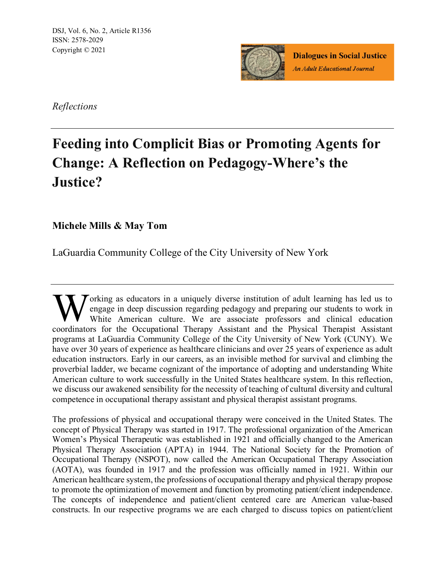DSJ, Vol. 6, No. 2, Article R1356 ISSN: 2578-2029 Copyright © 2021



**Dialogues in Social Justice An Adult Educational Journal** 

*Reflections*

# **Feeding into Complicit Bias or Promoting Agents for Change: A Reflection on Pedagogy-Where's the Justice?**

**Michele Mills & May Tom**

LaGuardia Community College of the City University of New York

orking as educators in a uniquely diverse institution of adult learning has led us to engage in deep discussion regarding pedagogy and preparing our students to work in White American culture. We are associate professors and clinical education Working as educators in a uniquely diverse institution of adult learning has led us to engage in deep discussion regarding pedagogy and preparing our students to work in White American culture. We are associate professors programs at LaGuardia Community College of the City University of New York (CUNY). We have over 30 years of experience as healthcare clinicians and over 25 years of experience as adult education instructors. Early in our careers, as an invisible method for survival and climbing the proverbial ladder, we became cognizant of the importance of adopting and understanding White American culture to work successfully in the United States healthcare system. In this reflection, we discuss our awakened sensibility for the necessity of teaching of cultural diversity and cultural competence in occupational therapy assistant and physical therapist assistant programs.

The professions of physical and occupational therapy were conceived in the United States. The concept of Physical Therapy was started in 1917. The professional organization of the American Women's Physical Therapeutic was established in 1921 and officially changed to the American Physical Therapy Association (APTA) in 1944. The National Society for the Promotion of Occupational Therapy (NSPOT), now called the American Occupational Therapy Association (AOTA), was founded in 1917 and the profession was officially named in 1921. Within our American healthcare system, the professions of occupational therapy and physical therapy propose to promote the optimization of movement and function by promoting patient/client independence. The concepts of independence and patient/client centered care are American value-based constructs. In our respective programs we are each charged to discuss topics on patient/client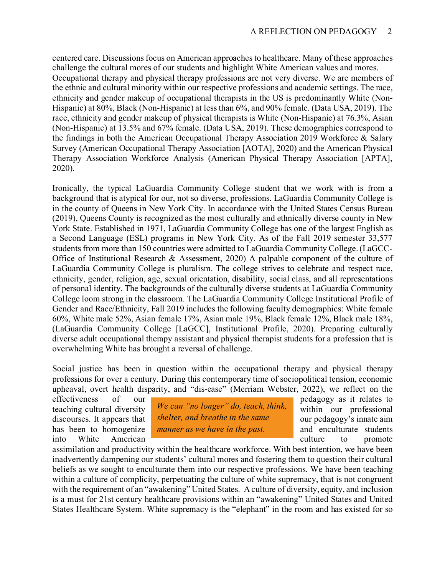centered care. Discussions focus on American approaches to healthcare. Many of these approaches challenge the cultural mores of our students and highlight White American values and mores. Occupational therapy and physical therapy professions are not very diverse. We are members of the ethnic and cultural minority within our respective professions and academic settings. The race, ethnicity and gender makeup of occupational therapists in the US is predominantly White (Non-Hispanic) at 80%, Black (Non-Hispanic) at less than 6%, and 90% female. (Data USA, 2019). The race, ethnicity and gender makeup of physical therapists is White (Non-Hispanic) at 76.3%, Asian (Non-Hispanic) at 13.5% and 67% female. (Data USA, 2019). These demographics correspond to the findings in both the American Occupational Therapy Association 2019 Workforce & Salary Survey (American Occupational Therapy Association [AOTA], 2020) and the American Physical Therapy Association Workforce Analysis (American Physical Therapy Association [APTA], 2020).

Ironically, the typical LaGuardia Community College student that we work with is from a background that is atypical for our, not so diverse, professions. LaGuardia Community College is in the county of Queens in New York City. In accordance with the United States Census Bureau (2019), Queens County is recognized as the most culturally and ethnically diverse county in New York State. Established in 1971, LaGuardia Community College has one of the largest English as a Second Language (ESL) programs in New York City. As of the Fall 2019 semester 33,577 students from more than 150 countries were admitted to LaGuardia Community College. (LaGCC-Office of Institutional Research & Assessment, 2020) A palpable component of the culture of LaGuardia Community College is pluralism. The college strives to celebrate and respect race, ethnicity, gender, religion, age, sexual orientation, disability, social class, and all representations of personal identity. The backgrounds of the culturally diverse students at LaGuardia Community College loom strong in the classroom. The LaGuardia Community College Institutional Profile of Gender and Race/Ethnicity, Fall 2019 includes the following faculty demographics: White female 60%, White male 52%, Asian female 17%, Asian male 19%, Black female 12%, Black male 18%, (LaGuardia Community College [LaGCC], Institutional Profile, 2020). Preparing culturally diverse adult occupational therapy assistant and physical therapist students for a profession that is overwhelming White has brought a reversal of challenge.

Social justice has been in question within the occupational therapy and physical therapy professions for over a century. During this contemporary time of sociopolitical tension, economic upheaval, overt health disparity, and "dis-ease" (Merriam Webster, 2022), we reflect on the

teaching cultural diversity We can no longer do, teach, think, within our professional discourses. It appears that *shelter, and breathe in the same* our pedagogy's innate aim has been to homogenize *manner as we have in the past*. and enculturate students *We can "no longer" do, teach, think, shelter, and breathe in the same* 

effectiveness of our pedagogy as it relates to into White American culture to promote

assimilation and productivity within the healthcare workforce. With best intention, we have been inadvertently dampening our students' cultural mores and fostering them to question their cultural beliefs as we sought to enculturate them into our respective professions. We have been teaching within a culture of complicity, perpetuating the culture of white supremacy, that is not congruent with the requirement of an "awakening" United States. A culture of diversity, equity, and inclusion is a must for 21st century healthcare provisions within an "awakening" United States and United States Healthcare System. White supremacy is the "elephant" in the room and has existed for so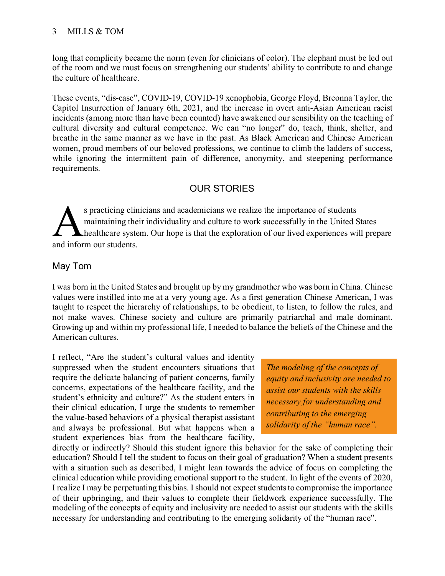long that complicity became the norm (even for clinicians of color). The elephant must be led out of the room and we must focus on strengthening our students' ability to contribute to and change the culture of healthcare.

These events, "dis-ease", COVID-19, COVID-19 xenophobia, George Floyd, Breonna Taylor, the Capitol Insurrection of January 6th, 2021, and the increase in overt anti-Asian American racist incidents (among more than have been counted) have awakened our sensibility on the teaching of cultural diversity and cultural competence. We can "no longer" do, teach, think, shelter, and breathe in the same manner as we have in the past. As Black American and Chinese American women, proud members of our beloved professions, we continue to climb the ladders of success, while ignoring the intermittent pain of difference, anonymity, and steepening performance requirements.

## OUR STORIES

s practicing clinicians and academicians we realize the importance of students maintaining their individuality and culture to work successfully in the United States healthcare system. Our hope is that the exploration of our lived experiences will prepare s practicing clin<br>
maintaining their<br>
healthcare syste<br>
and inform our students.

## May Tom

I was born in the United States and brought up by my grandmother who was born in China. Chinese values were instilled into me at a very young age. As a first generation Chinese American, I was taught to respect the hierarchy of relationships, to be obedient, to listen, to follow the rules, and not make waves. Chinese society and culture are primarily patriarchal and male dominant. Growing up and within my professional life, I needed to balance the beliefs of the Chinese and the American cultures.

I reflect, "Are the student's cultural values and identity suppressed when the student encounters situations that require the delicate balancing of patient concerns, family concerns, expectations of the healthcare facility, and the student's ethnicity and culture?" As the student enters in their clinical education, I urge the students to remember the value-based behaviors of a physical therapist assistant and always be professional. But what happens when a student experiences bias from the healthcare facility,

*The modeling of the concepts of equity and inclusivity are needed to assist our students with the skills necessary for understanding and contributing to the emerging solidarity of the "human race".*

directly or indirectly? Should this student ignore this behavior for the sake of completing their education? Should I tell the student to focus on their goal of graduation? When a student presents with a situation such as described, I might lean towards the advice of focus on completing the clinical education while providing emotional support to the student. In light of the events of 2020, I realize I may be perpetuating this bias. I should not expect students to compromise the importance of their upbringing, and their values to complete their fieldwork experience successfully. The modeling of the concepts of equity and inclusivity are needed to assist our students with the skills necessary for understanding and contributing to the emerging solidarity of the "human race".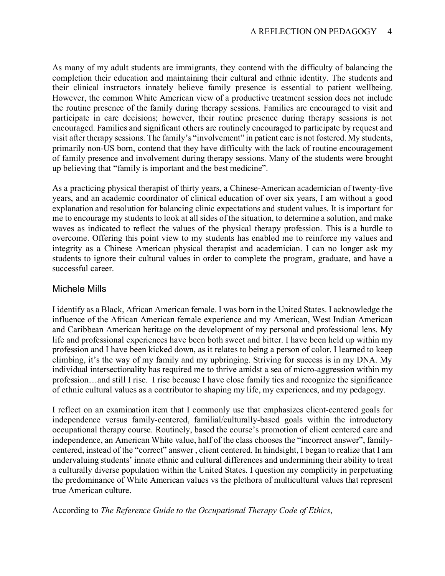As many of my adult students are immigrants, they contend with the difficulty of balancing the completion their education and maintaining their cultural and ethnic identity. The students and their clinical instructors innately believe family presence is essential to patient wellbeing. However, the common White American view of a productive treatment session does not include the routine presence of the family during therapy sessions. Families are encouraged to visit and participate in care decisions; however, their routine presence during therapy sessions is not encouraged. Families and significant others are routinely encouraged to participate by request and visit after therapy sessions. The family's "involvement" in patient care is not fostered. My students, primarily non-US born, contend that they have difficulty with the lack of routine encouragement of family presence and involvement during therapy sessions. Many of the students were brought up believing that "family is important and the best medicine".

As a practicing physical therapist of thirty years, a Chinese-American academician of twenty-five years, and an academic coordinator of clinical education of over six years, I am without a good explanation and resolution for balancing clinic expectations and student values. It is important for me to encourage my students to look at all sides of the situation, to determine a solution, and make waves as indicated to reflect the values of the physical therapy profession. This is a hurdle to overcome. Offering this point view to my students has enabled me to reinforce my values and integrity as a Chinese American physical therapist and academician. I can no longer ask my students to ignore their cultural values in order to complete the program, graduate, and have a successful career.

#### Michele Mills

I identify as a Black, African American female. I was born in the United States. I acknowledge the influence of the African American female experience and my American, West Indian American and Caribbean American heritage on the development of my personal and professional lens. My life and professional experiences have been both sweet and bitter. I have been held up within my profession and I have been kicked down, as it relates to being a person of color. I learned to keep climbing, it's the way of my family and my upbringing. Striving for success is in my DNA. My individual intersectionality has required me to thrive amidst a sea of micro-aggression within my profession…and still I rise. I rise because I have close family ties and recognize the significance of ethnic cultural values as a contributor to shaping my life, my experiences, and my pedagogy.

I reflect on an examination item that I commonly use that emphasizes client-centered goals for independence versus family-centered, familial/culturally-based goals within the introductory occupational therapy course. Routinely, based the course's promotion of client centered care and independence, an American White value, half of the class chooses the "incorrect answer", familycentered, instead of the "correct" answer , client centered. In hindsight, I began to realize that I am undervaluing students' innate ethnic and cultural differences and undermining their ability to treat a culturally diverse population within the United States. I question my complicity in perpetuating the predominance of White American values vs the plethora of multicultural values that represent true American culture.

According to *The Reference Guide to the Occupational Therapy Code of Ethics*,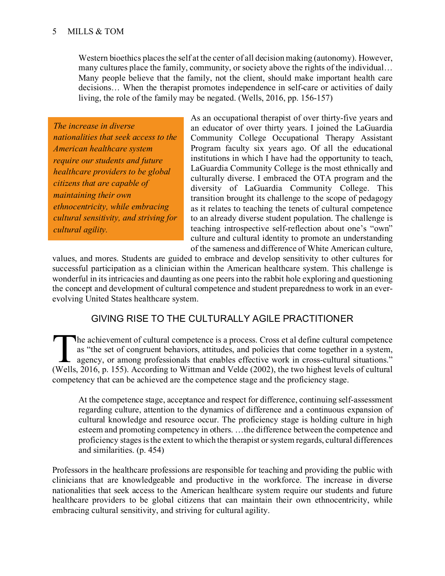Western bioethics places the self at the center of all decision making (autonomy). However, many cultures place the family, community, or society above the rights of the individual… Many people believe that the family, not the client, should make important health care decisions… When the therapist promotes independence in self-care or activities of daily living, the role of the family may be negated. (Wells, 2016, pp. 156-157)

*The increase in diverse nationalities that seek access to the American healthcare system require our students and future healthcare providers to be global citizens that are capable of maintaining their own ethnocentricity, while embracing cultural sensitivity, and striving for cultural agility.*

As an occupational therapist of over thirty-five years and an educator of over thirty years. I joined the LaGuardia Community College Occupational Therapy Assistant Program faculty six years ago. Of all the educational institutions in which I have had the opportunity to teach, LaGuardia Community College is the most ethnically and culturally diverse. I embraced the OTA program and the diversity of LaGuardia Community College. This transition brought its challenge to the scope of pedagogy as it relates to teaching the tenets of cultural competence to an already diverse student population. The challenge is teaching introspective self-reflection about one's "own" culture and cultural identity to promote an understanding of the sameness and difference of White American culture,

values, and mores. Students are guided to embrace and develop sensitivity to other cultures for successful participation as a clinician within the American healthcare system. This challenge is wonderful in its intricacies and daunting as one peers into the rabbit hole exploring and questioning the concept and development of cultural competence and student preparedness to work in an everevolving United States healthcare system.

## GIVING RISE TO THE CULTURALLY AGILE PRACTITIONER

he achievement of cultural competence is a process. Cross et al define cultural competence as "the set of congruent behaviors, attitudes, and policies that come together in a system, agency, or among professionals that enables effective work in cross-cultural situations." The achievement of cultural competence is a process. Cross et al define cultural competence as "the set of congruent behaviors, attitudes, and policies that come together in a system, agency, or among professionals that en competency that can be achieved are the competence stage and the proficiency stage.

At the competence stage, acceptance and respect for difference, continuing self-assessment regarding culture, attention to the dynamics of difference and a continuous expansion of cultural knowledge and resource occur. The proficiency stage is holding culture in high esteem and promoting competency in others. …the difference between the competence and proficiency stages is the extent to which the therapist or system regards, cultural differences and similarities. (p. 454)

Professors in the healthcare professions are responsible for teaching and providing the public with clinicians that are knowledgeable and productive in the workforce. The increase in diverse nationalities that seek access to the American healthcare system require our students and future healthcare providers to be global citizens that can maintain their own ethnocentricity, while embracing cultural sensitivity, and striving for cultural agility.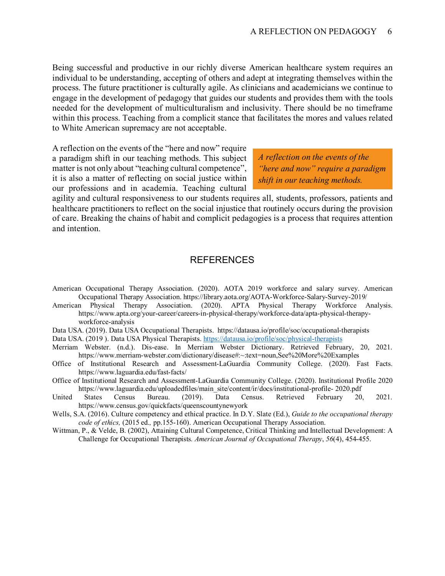Being successful and productive in our richly diverse American healthcare system requires an individual to be understanding, accepting of others and adept at integrating themselves within the process. The future practitioner is culturally agile. As clinicians and academicians we continue to engage in the development of pedagogy that guides our students and provides them with the tools needed for the development of multiculturalism and inclusivity. There should be no timeframe within this process. Teaching from a complicit stance that facilitates the mores and values related to White American supremacy are not acceptable.

A reflection on the events of the "here and now" require a paradigm shift in our teaching methods. This subject matter is not only about "teaching cultural competence", it is also a matter of reflecting on social justice within our professions and in academia. Teaching cultural

*A reflection on the events of the "here and now" require a paradigm shift in our teaching methods.*

agility and cultural responsiveness to our students requires all, students, professors, patients and healthcare practitioners to reflect on the social injustice that routinely occurs during the provision of care. Breaking the chains of habit and complicit pedagogies is a process that requires attention and intention.

#### **REFERENCES**

- American Occupational Therapy Association. (2020). AOTA 2019 workforce and salary survey. American Occupational Therapy Association. https://library.aota.org/AOTA-Workforce-Salary-Survey-2019/
- American Physical Therapy Association. (2020). APTA Physical Therapy Workforce Analysis. https://www.apta.org/your-career/careers-in-physical-therapy/workforce-data/apta-physical-therapyworkforce-analysis
- Data USA. (2019). Data USA Occupational Therapists. https://datausa.io/profile/soc/occupational-therapists
- Data USA. (2019 ). Data USA Physical Therapists. <https://datausa.io/profile/soc/physical-therapists>
- Merriam Webster. (n.d.). Dis-ease. In Merriam Webster Dictionary. Retrieved February, 20, 2021. https://www.merriam-webster.com/dictionary/disease#:~:text=noun,See%20More%20Examples
- Office of Institutional Research and Assessment-LaGuardia Community College. (2020). Fast Facts. https://www.laguardia.edu/fast-facts/
- Office of Institutional Research and Assessment-LaGuardia Community College. (2020). Institutional Profile 2020 https://www.laguardia.edu/uploadedfiles/main\_site/content/ir/docs/institutional-profile- 2020.pdf<br>States Census Bureau. (2019). Data Census. Retrieved February 20.
- United States Census Bureau. (2019). Data Census. Retrieved February 20, 2021. https://www.census.gov/quickfacts/queenscountynewyork
- Wells, S.A. (2016). Culture competency and ethical practice. In D.Y. Slate (Ed.), *Guide to the occupational therapy code of ethics,* (2015 ed.*,* pp.155-160). American Occupational Therapy Association.
- Wittman, P., & Velde, B. (2002), Attaining Cultural Competence, Critical Thinking and Intellectual Development: A Challenge for Occupational Therapists*. American Journal of Occupational Therapy*, *56*(4), 454-455.